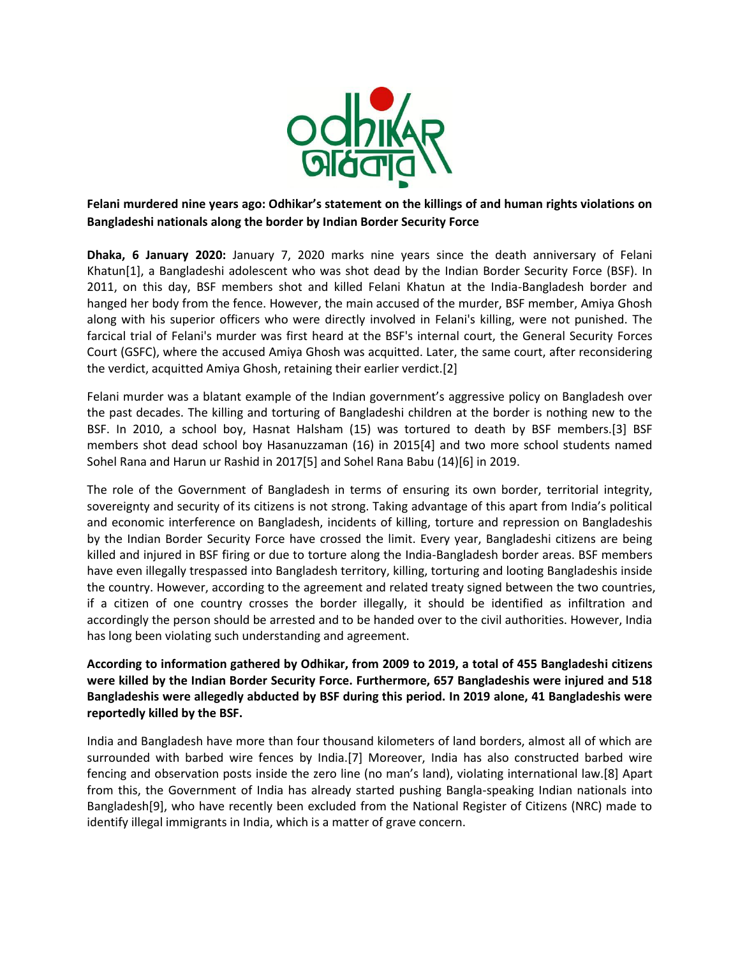

**Felani murdered nine years ago: Odhikar's statement on the killings of and human rights violations on Bangladeshi nationals along the border by Indian Border Security Force**

**Dhaka, 6 January 2020:** January 7, 2020 marks nine years since the death anniversary of Felani Khatun[1], a Bangladeshi adolescent who was shot dead by the Indian Border Security Force (BSF). In 2011, on this day, BSF members shot and killed Felani Khatun at the India-Bangladesh border and hanged her body from the fence. However, the main accused of the murder, BSF member, Amiya Ghosh along with his superior officers who were directly involved in Felani's killing, were not punished. The farcical trial of Felani's murder was first heard at the BSF's internal court, the General Security Forces Court (GSFC), where the accused Amiya Ghosh was acquitted. Later, the same court, after reconsidering the verdict, acquitted Amiya Ghosh, retaining their earlier verdict.[2]

Felani murder was a blatant example of the Indian government's aggressive policy on Bangladesh over the past decades. The killing and torturing of Bangladeshi children at the border is nothing new to the BSF. In 2010, a school boy, Hasnat Halsham (15) was tortured to death by BSF members.[3] BSF members shot dead school boy Hasanuzzaman (16) in 2015[4] and two more school students named Sohel Rana and Harun ur Rashid in 2017[5] and Sohel Rana Babu (14)[6] in 2019.

The role of the Government of Bangladesh in terms of ensuring its own border, territorial integrity, sovereignty and security of its citizens is not strong. Taking advantage of this apart from India's political and economic interference on Bangladesh, incidents of killing, torture and repression on Bangladeshis by the Indian Border Security Force have crossed the limit. Every year, Bangladeshi citizens are being killed and injured in BSF firing or due to torture along the India-Bangladesh border areas. BSF members have even illegally trespassed into Bangladesh territory, killing, torturing and looting Bangladeshis inside the country. However, according to the agreement and related treaty signed between the two countries, if a citizen of one country crosses the border illegally, it should be identified as infiltration and accordingly the person should be arrested and to be handed over to the civil authorities. However, India has long been violating such understanding and agreement.

**According to information gathered by Odhikar, from 2009 to 2019, a total of 455 Bangladeshi citizens were killed by the Indian Border Security Force. Furthermore, 657 Bangladeshis were injured and 518 Bangladeshis were allegedly abducted by BSF during this period. In 2019 alone, 41 Bangladeshis were reportedly killed by the BSF.** 

India and Bangladesh have more than four thousand kilometers of land borders, almost all of which are surrounded with barbed wire fences by India.[7] Moreover, India has also constructed barbed wire fencing and observation posts inside the zero line (no man's land), violating international law.[8] Apart from this, the Government of India has already started pushing Bangla-speaking Indian nationals into Bangladesh[9], who have recently been excluded from the National Register of Citizens (NRC) made to identify illegal immigrants in India, which is a matter of grave concern.